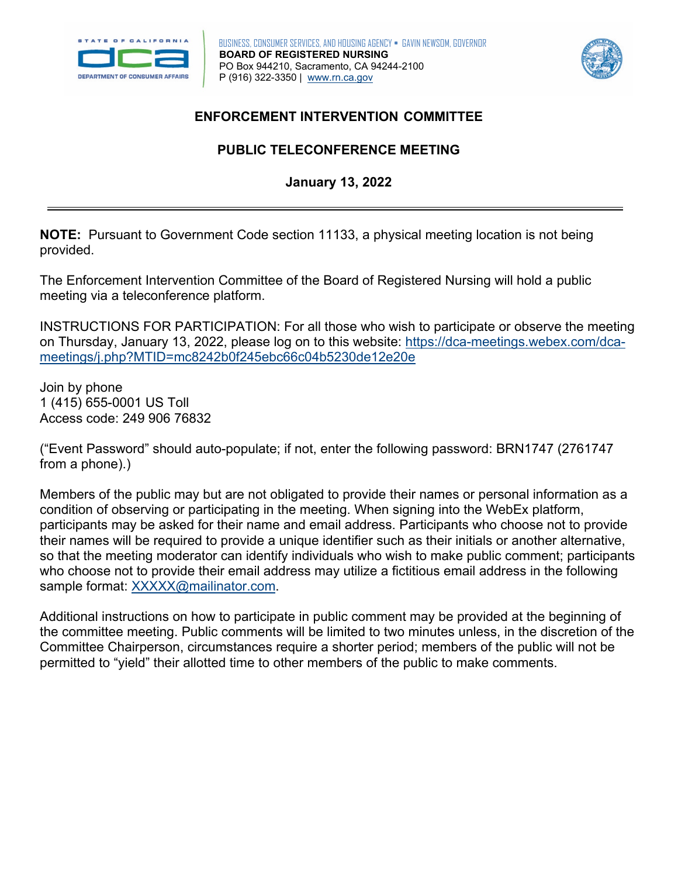



## **ENFORCEMENT INTERVENTION COMMITTEE**

# **PUBLIC TELECONFERENCE MEETING January 13, 2022**

 **NOTE:** Pursuant to Government Code section 11133, a physical meeting location is not being provided.

The Enforcement Intervention Committee of the Board of Registered Nursing will hold a public meeting via a teleconference platform.

INSTRUCTIONS FOR PARTICIPATION: For all those who wish to participate or observe the meeting on Thursday, January 13, 2022, please log on to this website: [https://dca-meetings.webex.com/dca](https://dca-meetings.webex.com/dca-meetings/j.php?MTID=mc8242b0f245ebc66c04b5230de12e20e)[meetings/j.php?MTID=mc8242b0f245ebc66c04b5230de12e20e](https://dca-meetings.webex.com/dca-meetings/j.php?MTID=mc8242b0f245ebc66c04b5230de12e20e) 

Join by phone 1 (415) 655-0001 US Toll Access code: 249 906 76832

("Event Password" should auto-populate; if not, enter the following password: BRN1747 (2761747 from a phone).)

Members of the public may but are not obligated to provide their names or personal information as a condition of observing or participating in the meeting. When signing into the WebEx platform, participants may be asked for their name and email address. Participants who choose not to provide their names will be required to provide a unique identifier such as their initials or another alternative, so that the meeting moderator can identify individuals who wish to make public comment; participants who choose not to provide their email address may utilize a fictitious email address in the following sample format: [XXXXX@mailinator.com.](mailto:XXXXX@mailinator.com)

Additional instructions on how to participate in public comment may be provided at the beginning of the committee meeting. Public comments will be limited to two minutes unless, in the discretion of the Committee Chairperson, circumstances require a shorter period; members of the public will not be permitted to "yield" their allotted time to other members of the public to make comments.